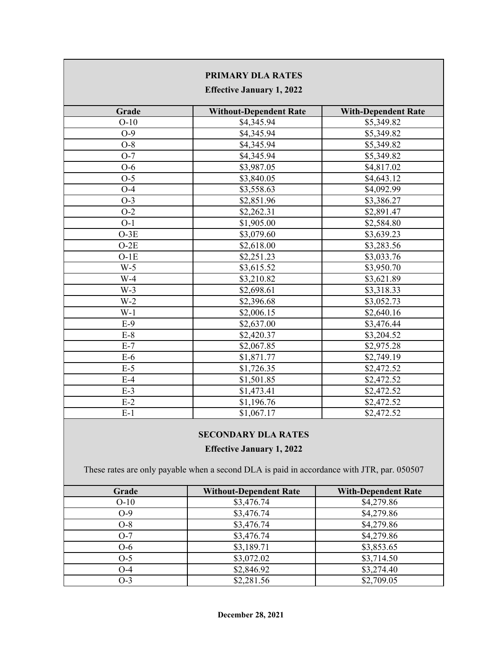| <b>PRIMARY DLA RATES</b><br><b>Effective January 1, 2022</b> |                               |                            |  |  |
|--------------------------------------------------------------|-------------------------------|----------------------------|--|--|
| Grade                                                        | <b>Without-Dependent Rate</b> | <b>With-Dependent Rate</b> |  |  |
| $O-10$                                                       | \$4,345.94                    | \$5,349.82                 |  |  |
| $O-9$                                                        | \$4,345.94                    | \$5,349.82                 |  |  |
| $O-8$                                                        | \$4,345.94                    | \$5,349.82                 |  |  |
| $O-7$                                                        | \$4,345.94                    | \$5,349.82                 |  |  |
| $O-6$                                                        | \$3,987.05                    | \$4,817.02                 |  |  |
| $O-5$                                                        | \$3,840.05                    | \$4,643.12                 |  |  |
| $O-4$                                                        | \$3,558.63                    | \$4,092.99                 |  |  |
| $O-3$                                                        | \$2,851.96                    | \$3,386.27                 |  |  |
| $O-2$                                                        | \$2,262.31                    | \$2,891.47                 |  |  |
| $O-1$                                                        | \$1,905.00                    | \$2,584.80                 |  |  |
| $O-3E$                                                       | \$3,079.60                    | \$3,639.23                 |  |  |
| $O-2E$                                                       | \$2,618.00                    | \$3,283.56                 |  |  |
| $O-1E$                                                       | \$2,251.23                    | \$3,033.76                 |  |  |
| $W-5$                                                        | \$3,615.52                    | \$3,950.70                 |  |  |
| $W-4$                                                        | \$3,210.82                    | \$3,621.89                 |  |  |
| $W-3$                                                        | \$2,698.61                    | \$3,318.33                 |  |  |
| $W-2$                                                        | \$2,396.68                    | \$3,052.73                 |  |  |
| $W-1$                                                        | \$2,006.15                    | \$2,640.16                 |  |  |
| $E-9$                                                        | \$2,637.00                    | \$3,476.44                 |  |  |
| $E-8$                                                        | \$2,420.37                    | \$3,204.52                 |  |  |
| $E-7$                                                        | \$2,067.85                    | \$2,975.28                 |  |  |
| $E-6$                                                        | \$1,871.77                    | \$2,749.19                 |  |  |
| $E-5$                                                        | \$1,726.35                    | \$2,472.52                 |  |  |
| $E-4$                                                        | \$1,501.85                    | \$2,472.52                 |  |  |
| $E-3$                                                        | \$1,473.41                    | \$2,472.52                 |  |  |
| $E-2$                                                        | \$1,196.76                    | \$2,472.52                 |  |  |
| $E-1$                                                        | \$1,067.17                    | \$2,472.52                 |  |  |

## **SECONDARY DLA RATES**

## **Effective January 1, 2022**

These rates are only payable when a second DLA is paid in accordance with JTR, par. 050507

| Grade  | <b>Without-Dependent Rate</b> | <b>With-Dependent Rate</b> |
|--------|-------------------------------|----------------------------|
| $O-10$ | \$3,476.74                    | \$4,279.86                 |
| $O-9$  | \$3,476.74                    | \$4,279.86                 |
| $O-8$  | \$3,476.74                    | \$4,279.86                 |
| $O-7$  | \$3,476.74                    | \$4,279.86                 |
| $O-6$  | \$3,189.71                    | \$3,853.65                 |
| $O-5$  | \$3,072.02                    | \$3,714.50                 |
| $O-4$  | \$2,846.92                    | \$3,274.40                 |
| $O-3$  | \$2,281.56                    | \$2,709.05                 |